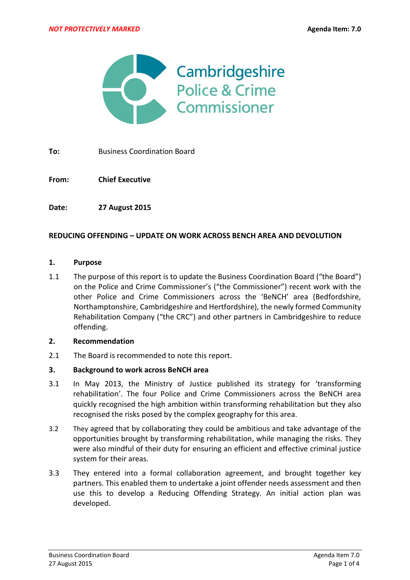

**To:** Business Coordination Board

**From: Chief Executive**

**Date: 27 August 2015**

### **REDUCING OFFENDING – UPDATE ON WORK ACROSS BENCH AREA AND DEVOLUTION**

#### **1. Purpose**

1.1 The purpose of this report is to update the Business Coordination Board ("the Board") on the Police and Crime Commissioner's ("the Commissioner") recent work with the other Police and Crime Commissioners across the 'BeNCH' area (Bedfordshire, Northamptonshire, Cambridgeshire and Hertfordshire), the newly formed Community Rehabilitation Company ("the CRC") and other partners in Cambridgeshire to reduce offending.

### **2. Recommendation**

2.1 The Board is recommended to note this report.

### **3. Background to work across BeNCH area**

- 3.1 In May 2013, the Ministry of Justice published its strategy for 'transforming rehabilitation'. The four Police and Crime Commissioners across the BeNCH area quickly recognised the high ambition within transforming rehabilitation but they also recognised the risks posed by the complex geography for this area.
- 3.2 They agreed that by collaborating they could be ambitious and take advantage of the opportunities brought by transforming rehabilitation, while managing the risks. They were also mindful of their duty for ensuring an efficient and effective criminal justice system for their areas.
- 3.3 They entered into a formal collaboration agreement, and brought together key partners. This enabled them to undertake a joint offender needs assessment and then use this to develop a Reducing Offending Strategy. An initial action plan was developed.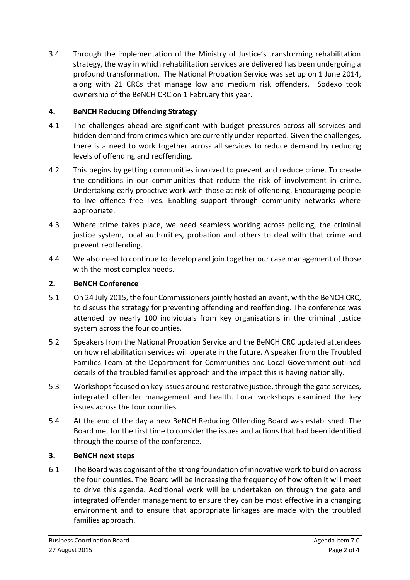3.4 Through the implementation of the Ministry of Justice's transforming rehabilitation strategy, the way in which rehabilitation services are delivered has been undergoing a profound transformation. The National Probation Service was set up on 1 June 2014, along with 21 CRCs that manage low and medium risk offenders. Sodexo took ownership of the BeNCH CRC on 1 February this year.

# **4. BeNCH Reducing Offending Strategy**

- 4.1 The challenges ahead are significant with budget pressures across all services and hidden demand from crimes which are currently under-reported. Given the challenges, there is a need to work together across all services to reduce demand by reducing levels of offending and reoffending.
- 4.2 This begins by getting communities involved to prevent and reduce crime. To create the conditions in our communities that reduce the risk of involvement in crime. Undertaking early proactive work with those at risk of offending. Encouraging people to live offence free lives. Enabling support through community networks where appropriate.
- 4.3 Where crime takes place, we need seamless working across policing, the criminal justice system, local authorities, probation and others to deal with that crime and prevent reoffending.
- 4.4 We also need to continue to develop and join together our case management of those with the most complex needs.

# **2. BeNCH Conference**

- 5.1 On 24 July 2015, the four Commissioners jointly hosted an event, with the BeNCH CRC, to discuss the strategy for preventing offending and reoffending. The conference was attended by nearly 100 individuals from key organisations in the criminal justice system across the four counties.
- 5.2 Speakers from the National Probation Service and the BeNCH CRC updated attendees on how rehabilitation services will operate in the future. A speaker from the Troubled Families Team at the Department for Communities and Local Government outlined details of the troubled families approach and the impact this is having nationally.
- 5.3 Workshops focused on key issues around restorative justice, through the gate services, integrated offender management and health. Local workshops examined the key issues across the four counties.
- 5.4 At the end of the day a new BeNCH Reducing Offending Board was established. The Board met for the first time to consider the issues and actions that had been identified through the course of the conference.

## **3. BeNCH next steps**

6.1 The Board was cognisant of the strong foundation of innovative work to build on across the four counties. The Board will be increasing the frequency of how often it will meet to drive this agenda. Additional work will be undertaken on through the gate and integrated offender management to ensure they can be most effective in a changing environment and to ensure that appropriate linkages are made with the troubled families approach.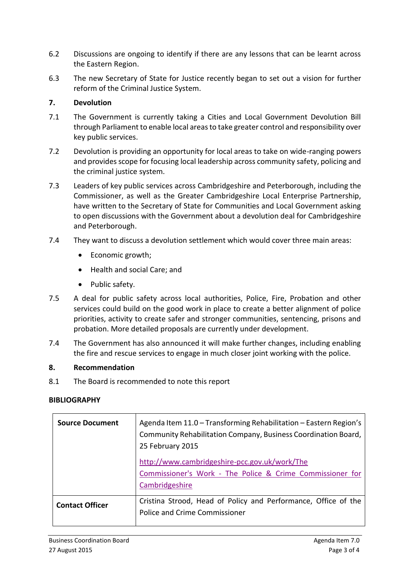- 6.2 Discussions are ongoing to identify if there are any lessons that can be learnt across the Eastern Region.
- 6.3 The new Secretary of State for Justice recently began to set out a vision for further reform of the Criminal Justice System.

## **7. Devolution**

- 7.1 The Government is currently taking a Cities and Local Government Devolution Bill through Parliament to enable local areas to take greater control and responsibility over key public services.
- 7.2 Devolution is providing an opportunity for local areas to take on wide-ranging powers and provides scope for focusing local leadership across community safety, policing and the criminal justice system.
- 7.3 Leaders of key public services across Cambridgeshire and Peterborough, including the Commissioner, as well as the Greater Cambridgeshire Local Enterprise Partnership, have written to the Secretary of State for Communities and Local Government asking to open discussions with the Government about a devolution deal for Cambridgeshire and Peterborough.
- 7.4 They want to discuss a devolution settlement which would cover three main areas:
	- Economic growth;
	- Health and social Care; and
	- Public safety.
- 7.5 A deal for public safety across local authorities, Police, Fire, Probation and other services could build on the good work in place to create a better alignment of police priorities, activity to create safer and stronger communities, sentencing, prisons and probation. More detailed proposals are currently under development.
- 7.4 The Government has also announced it will make further changes, including enabling the fire and rescue services to engage in much closer joint working with the police.

## **8. Recommendation**

8.1 The Board is recommended to note this report

## **BIBLIOGRAPHY**

| <b>Source Document</b> | Agenda Item 11.0 - Transforming Rehabilitation - Eastern Region's<br>Community Rehabilitation Company, Business Coordination Board,<br>25 February 2015<br>http://www.cambridgeshire-pcc.gov.uk/work/The<br>Commissioner's Work - The Police & Crime Commissioner for<br>Cambridgeshire |
|------------------------|-----------------------------------------------------------------------------------------------------------------------------------------------------------------------------------------------------------------------------------------------------------------------------------------|
| <b>Contact Officer</b> | Cristina Strood, Head of Policy and Performance, Office of the<br>Police and Crime Commissioner                                                                                                                                                                                         |